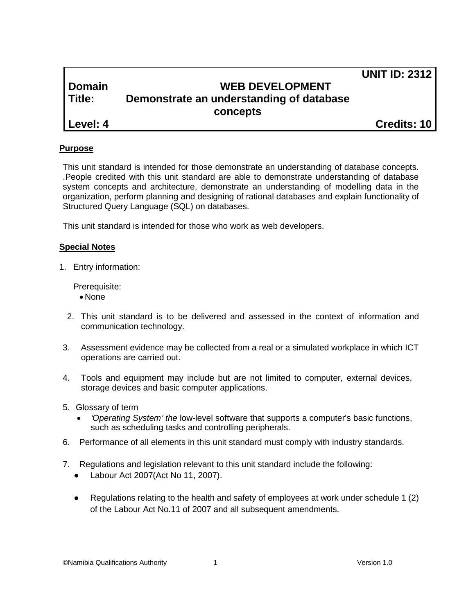|          |                                          | <b>UNIT ID: 2312</b> |
|----------|------------------------------------------|----------------------|
| Domain   | <b>WEB DEVELOPMENT</b>                   |                      |
| l Title: | Demonstrate an understanding of database |                      |
|          | concepts                                 |                      |
| Level: 4 |                                          | <b>Credits: 10</b>   |

#### **Purpose**

This unit standard is intended for those demonstrate an understanding of database concepts. .People credited with this unit standard are able to demonstrate understanding of database system concepts and architecture, demonstrate an understanding of modelling data in the organization, perform planning and designing of rational databases and explain functionality of Structured Query Language (SQL) on databases.

This unit standard is intended for those who work as web developers.

#### **Special Notes**

1. Entry information:

Prerequisite:

- None
- 2. This unit standard is to be delivered and assessed in the context of information and communication technology.
- 3. Assessment evidence may be collected from a real or a simulated workplace in which ICT operations are carried out.
- 4. Tools and equipment may include but are not limited to computer, external devices, storage devices and basic computer applications.
- 5. Glossary of term
	- *'Operating System' the* low-level software that supports a computer's basic functions, such as scheduling tasks and controlling peripherals.
- 6. Performance of all elements in this unit standard must comply with industry standards.
- 7. Regulations and legislation relevant to this unit standard include the following:
	- Labour Act 2007(Act No 11, 2007).
	- Regulations relating to the health and safety of employees at work under schedule 1 (2) of the Labour Act No.11 of 2007 and all subsequent amendments.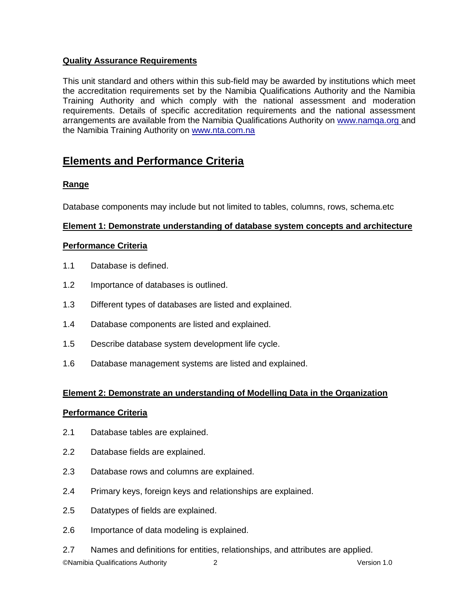## **Quality Assurance Requirements**

This unit standard and others within this sub-field may be awarded by institutions which meet the accreditation requirements set by the Namibia Qualifications Authority and the Namibia Training Authority and which comply with the national assessment and moderation requirements. Details of specific accreditation requirements and the national assessment arrangements are available from the Namibia Qualifications Authority on [www.namqa.org a](http://www.namqa.org/)nd the Namibia Training Authority on [www.nta.com.na](http://www.nta.com.na/)

# **Elements and Performance Criteria**

## **Range**

Database components may include but not limited to tables, columns, rows, schema.etc

## **Element 1: Demonstrate understanding of database system concepts and architecture**

### **Performance Criteria**

- 1.1 Database is defined.
- 1.2 Importance of databases is outlined.
- 1.3 Different types of databases are listed and explained.
- 1.4 Database components are listed and explained.
- 1.5 Describe database system development life cycle.
- 1.6 Database management systems are listed and explained.

### **Element 2: Demonstrate an understanding of Modelling Data in the Organization**

### **Performance Criteria**

- 2.1 Database tables are explained.
- 2.2 Database fields are explained.
- 2.3 Database rows and columns are explained.
- 2.4 Primary keys, foreign keys and relationships are explained.
- 2.5 Datatypes of fields are explained.
- 2.6 Importance of data modeling is explained.
- 2.7 Names and definitions for entities, relationships, and attributes are applied.

©Namibia Qualifications Authority 2 Version 1.0